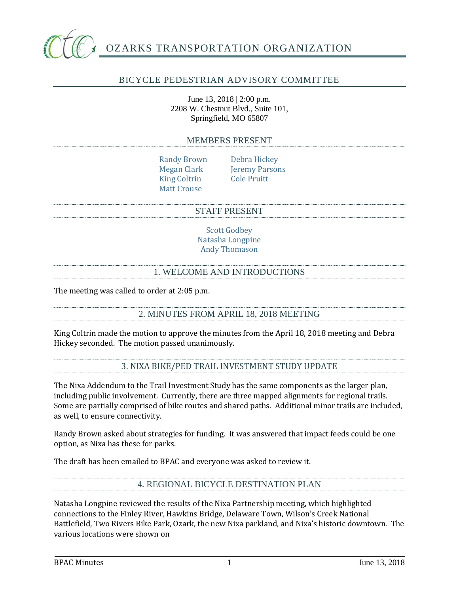

# BICYCLE PEDESTRIAN ADVISORY COMMITTEE

June 13, 2018 | 2:00 p.m. 2208 W. Chestnut Blvd., Suite 101, Springfield, MO 65807

#### MEMBERS PRESENT

Randy Brown Debra Hickey King Coltrin Cole Pruitt Matt Crouse

Megan Clark Jeremy Parsons

#### STAFF PRESENT

Scott Godbey Natasha Longpine Andy Thomason

### 1. WELCOME AND INTRODUCTIONS

The meeting was called to order at 2:05 p.m.

### 2. MINUTES FROM APRIL 18, 2018 MEETING

King Coltrin made the motion to approve the minutes from the April 18, 2018 meeting and Debra Hickey seconded. The motion passed unanimously.

3. NIXA BIKE/PED TRAIL INVESTMENT STUDY UPDATE

The Nixa Addendum to the Trail Investment Study has the same components as the larger plan, including public involvement. Currently, there are three mapped alignments for regional trails. Some are partially comprised of bike routes and shared paths. Additional minor trails are included, as well, to ensure connectivity.

Randy Brown asked about strategies for funding. It was answered that impact feeds could be one option, as Nixa has these for parks.

The draft has been emailed to BPAC and everyone was asked to review it.

4. REGIONAL BICYCLE DESTINATION PLAN

Natasha Longpine reviewed the results of the Nixa Partnership meeting, which highlighted connections to the Finley River, Hawkins Bridge, Delaware Town, Wilson's Creek National Battlefield, Two Rivers Bike Park, Ozark, the new Nixa parkland, and Nixa's historic downtown. The various locations were shown on